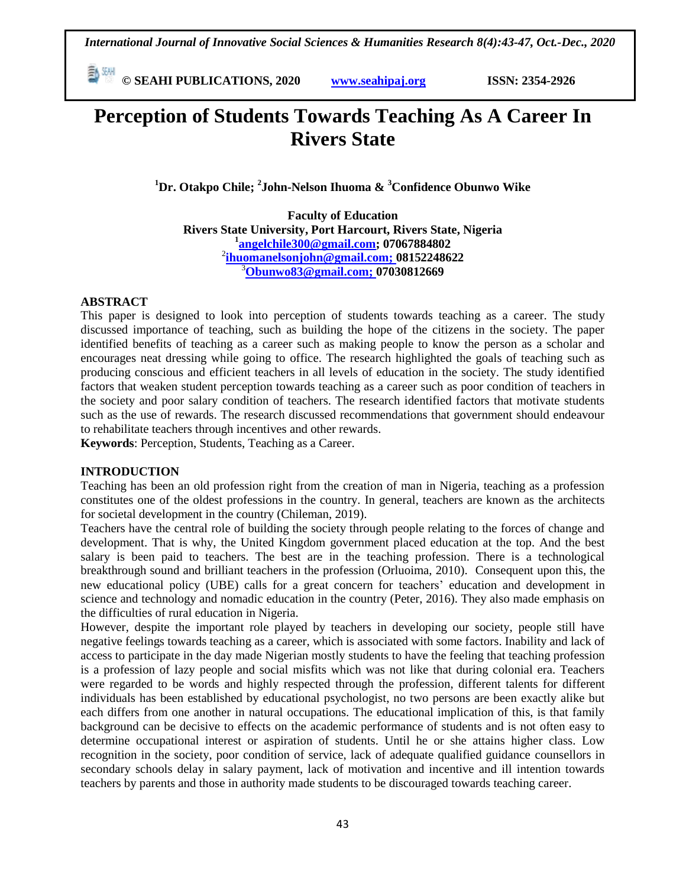**© SEAHI PUBLICATIONS, 2020 [www.seahipaj.org](http://www.seahipaj.org/) ISSN: 2354-2926** 

# **Perception of Students Towards Teaching As A Career In Rivers State**

**<sup>1</sup>Dr. Otakpo Chile; <sup>2</sup> John-Nelson Ihuoma & <sup>3</sup>Confidence Obunwo Wike** 

**Faculty of Education Rivers State University, Port Harcourt, Rivers State, Nigeria 1 [angelchile300@gmail.com;](mailto:angelchile300@gmail.com) 07067884802** 2 **[ihuomanelsonjohn@gmail.com;](mailto:ihuomanelsonjohn@gmail.com) 08152248622** <sup>3</sup>**[Obunwo83@gmail.com;](mailto:Obunwo83@gmail.com) 07030812669**

## **ABSTRACT**

This paper is designed to look into perception of students towards teaching as a career. The study discussed importance of teaching, such as building the hope of the citizens in the society. The paper identified benefits of teaching as a career such as making people to know the person as a scholar and encourages neat dressing while going to office. The research highlighted the goals of teaching such as producing conscious and efficient teachers in all levels of education in the society. The study identified factors that weaken student perception towards teaching as a career such as poor condition of teachers in the society and poor salary condition of teachers. The research identified factors that motivate students such as the use of rewards. The research discussed recommendations that government should endeavour to rehabilitate teachers through incentives and other rewards.

**Keywords**: Perception, Students, Teaching as a Career.

### **INTRODUCTION**

Teaching has been an old profession right from the creation of man in Nigeria, teaching as a profession constitutes one of the oldest professions in the country. In general, teachers are known as the architects for societal development in the country (Chileman, 2019).

Teachers have the central role of building the society through people relating to the forces of change and development. That is why, the United Kingdom government placed education at the top. And the best salary is been paid to teachers. The best are in the teaching profession. There is a technological breakthrough sound and brilliant teachers in the profession (Orluoima, 2010). Consequent upon this, the new educational policy (UBE) calls for a great concern for teachers' education and development in science and technology and nomadic education in the country (Peter, 2016). They also made emphasis on the difficulties of rural education in Nigeria.

However, despite the important role played by teachers in developing our society, people still have negative feelings towards teaching as a career, which is associated with some factors. Inability and lack of access to participate in the day made Nigerian mostly students to have the feeling that teaching profession is a profession of lazy people and social misfits which was not like that during colonial era. Teachers were regarded to be words and highly respected through the profession, different talents for different individuals has been established by educational psychologist, no two persons are been exactly alike but each differs from one another in natural occupations. The educational implication of this, is that family background can be decisive to effects on the academic performance of students and is not often easy to determine occupational interest or aspiration of students. Until he or she attains higher class. Low recognition in the society, poor condition of service, lack of adequate qualified guidance counsellors in secondary schools delay in salary payment, lack of motivation and incentive and ill intention towards teachers by parents and those in authority made students to be discouraged towards teaching career.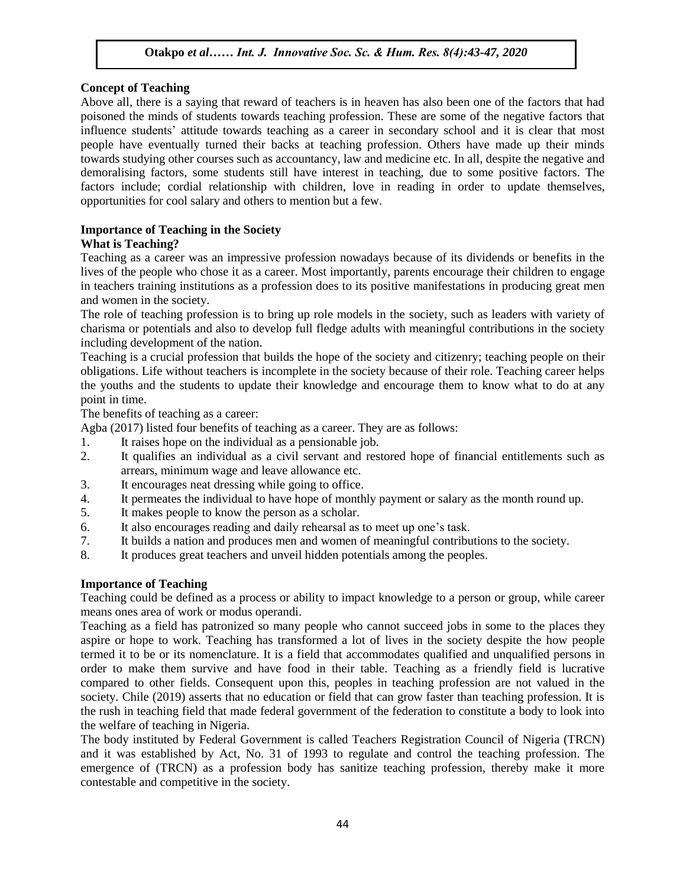### **Concept of Teaching**

Europe of real ends.<br>Above all, there is a saying that reward of teachers is in heaven has also been one of the factors that had poisoned the minds of students towards teaching profession. These are some of the negative factors that influence students' attitude towards teaching as a career in secondary school and it is clear that most people have eventually turned their backs at teaching profession. Others have made up their minds towards studying other courses such as accountancy, law and medicine etc. In all, despite the negative and towards studying other courses such as accountancy, law and medicine etc. In all, despite the negative and demoralising factors, some students still have interest in teaching, due to some positive factors. The factors include; cordial relationship with children, love in reading in order to update themselves, opportunities for cool salary and others to mention but a few.  $A$  are  $A$  and  $B$  and  $B$  and  $B$  in  $B$  is  $B$  in  $B$  . But the  $B$  is  $B$  is  $B$  is  $B$ 

### **Importance of Teaching in the Society**

### **What is Teaching?**

Teaching as a career was an impressive profession nowadays because of its dividends or benefits in the I vession of the people who chose it as a career. Most importantly, parents encourage their children to engage in teachers training institutions as a profession does to its positive manifestations in producing great men and women in the society.

The role of teaching profession is to bring up role models in the society, such as leaders with variety of charisma or potentials and also to develop full fledge adults with meaningful contributions in the society including development of the nation.

Teaching is a crucial profession that builds the hope of the society and citizenry; teaching people on their obligations. Life without teachers is incomplete in the society because of their role. Teaching career helps the youths and the students to update their knowledge and encourage them to know what to do at any point in time.

The benefits of teaching as a career:

Agba (2017) listed four benefits of teaching as a career. They are as follows:

- $\overline{a}$  It raises hope on the individual as a pensionable job.
- 2. It qualifies an individual as a civil servant and restored hope of financial entitlements such as arrears, minimum wage and leave allowance etc.
- 3. It encourages neat dressing while going to office.
- 4. It permeates the individual to have hope of monthly payment or salary as the month round up.
- 5. It makes people to know the person as a scholar.
- 6. It also encourages reading and daily rehearsal as to meet up one's task.
- 7. It builds a nation and produces men and women of meaningful contributions to the society.
- 8. It produces great teachers and unveil hidden potentials among the peoples.

### **Importance of Teaching**

Teaching could be defined as a process or ability to impact knowledge to a person or group, while career means ones area of work or modus operandi.

Teaching as a field has patronized so many people who cannot succeed jobs in some to the places they aspire or hope to work. Teaching has transformed a lot of lives in the society despite the how people termed it to be or its nomenclature. It is a field that accommodates qualified and unqualified persons in order to make them survive and have food in their table. Teaching as a friendly field is lucrative compared to other fields. Consequent upon this, peoples in teaching profession are not valued in the society. Chile (2019) asserts that no education or field that can grow faster than teaching profession. It is the rush in teaching field that made federal government of the federation to constitute a body to look into the welfare of teaching in Nigeria.

The body instituted by Federal Government is called Teachers Registration Council of Nigeria (TRCN) and it was established by Act, No. 31 of 1993 to regulate and control the teaching profession. The emergence of (TRCN) as a profession body has sanitize teaching profession, thereby make it more contestable and competitive in the society.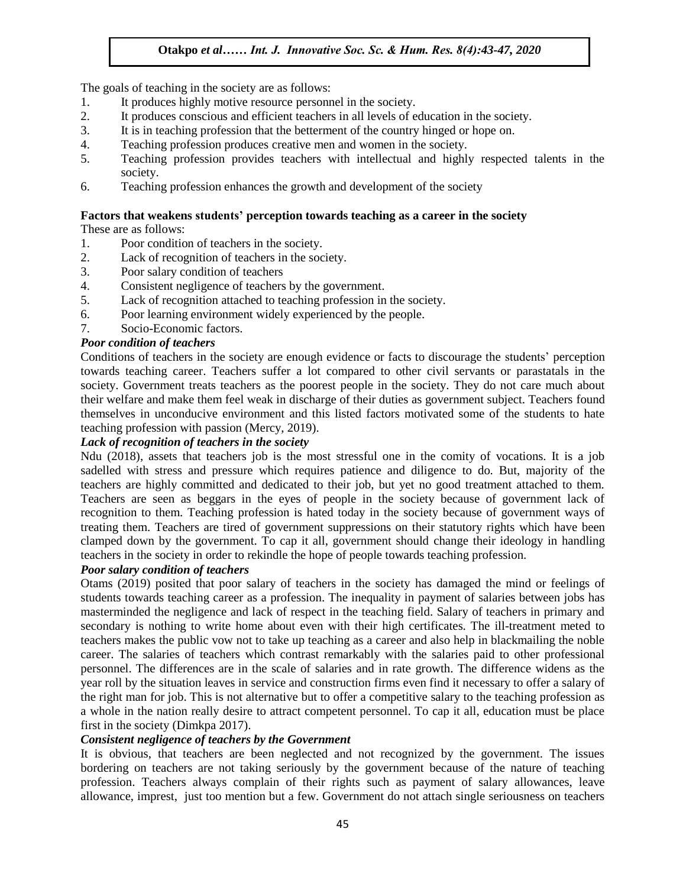The goals of teaching in the society are as follows:

- The goals of teaching in the society are as follows.<br>1. It produces highly motive resource personnel in the society.
- 2. It produces conscious and efficient teachers in all levels of education in the society.
- 3. It is in teaching profession that the betterment of the country hinged or hope on.
- 4. Teaching profession produces creative men and women in the society.
- 4. Teaching profession produces creative filed and women in the society.<br>5. Teaching profession provides teachers with intellectual and highly respected talents in the society.
- 6. Teaching profession enhances the growth and development of the society

# **Factors that weakens students' perception towards teaching as a career in the society**

These are as follows:

- 1. Poor condition of teachers in the society.
- 2. Lack of recognition of teachers in the society.<br>  $P_{\text{Rone}}}$  and  $P_{\text{Rone}}$  and  $P_{\text{Rone}}$  and  $P_{\text{Rone}}$  and  $P_{\text{Rone}}$  and  $P_{\text{Rone}}$  and  $P_{\text{Rone}}$  and  $P_{\text{Rone}}$  and  $P_{\text{Rone}}$  and  $P_{\text{Rone}}$  and  $P_{\text{Rone}}$  and  $P_{\$
- 3. Poor salary condition of teachers
- 4. Consistent negligence of teachers by the government.
- 5. Lack of recognition attached to teaching profession in the society.
- 6. Poor learning environment widely experienced by the people.<br>  $\frac{1}{2}$  Socio Economic fectors
- 7. Socio-Economic factors.

### *Poor condition of teachers*

Conditions of teachers in the society are enough evidence or facts to discourage the students' perception towards teaching career. Teachers suffer a lot compared to other civil servants or parastatals in the society. Government treats teachers as the poorest people in the society. They do not care much about society. their welfare and make them feel weak in discharge of their duties as government subject. Teachers found themselves in unconducive environment and this listed factors motivated some of the students to hate teaching profession with passion (Mercy, 2019).

# reading procession with passion (increy, 2013).<br>Lack of recognition of teachers in the society

Ndu (2018), assets that teachers job is the most stressful one in the comity of vocations. It is a job sadelled with stress and pressure which requires patience and diligence to do. But, majority of the teachers are highly committed and dedicated to their job, but yet no good treatment attached to them. Teachers are seen as beggars in the eyes of people in the society because of government lack of recognition to them. Teaching profession is hated today in the society because of government ways of treating them. Teachers are tired of government suppressions on their statutory rights which have been clamped down by the government. To cap it all, government should change their ideology in handling teachers in the society in order to rekindle the hope of people towards teaching profession.

### *Poor salary condition of teachers*

Otams (2019) posited that poor salary of teachers in the society has damaged the mind or feelings of students towards teaching career as a profession. The inequality in payment of salaries between jobs has masterminded the negligence and lack of respect in the teaching field. Salary of teachers in primary and secondary is nothing to write home about even with their high certificates. The ill-treatment meted to teachers makes the public vow not to take up teaching as a career and also help in blackmailing the noble career. The salaries of teachers which contrast remarkably with the salaries paid to other professional personnel. The differences are in the scale of salaries and in rate growth. The difference widens as the year roll by the situation leaves in service and construction firms even find it necessary to offer a salary of the right man for job. This is not alternative but to offer a competitive salary to the teaching profession as a whole in the nation really desire to attract competent personnel. To cap it all, education must be place first in the society (Dimkpa 2017).

### *Consistent negligence of teachers by the Government*

It is obvious, that teachers are been neglected and not recognized by the government. The issues bordering on teachers are not taking seriously by the government because of the nature of teaching profession. Teachers always complain of their rights such as payment of salary allowances, leave allowance, imprest, just too mention but a few. Government do not attach single seriousness on teachers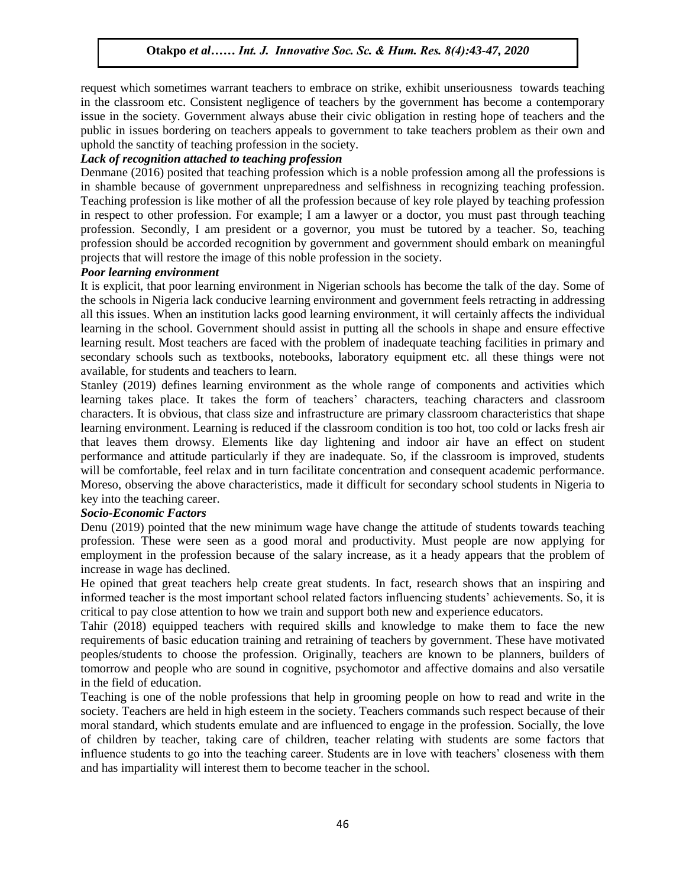request which sometimes warrant teachers to embrace on strike, exhibit unseriousness towards teaching request which sometimes warrant teachers to embrace on strike, exhibit unserfoldsness towards teaching<br>in the classroom etc. Consistent negligence of teachers by the government has become a contemporary issue in the society. Government always abuse their civic obligation in resting hope of teachers and the public in issues bordering on teachers appeals to government to take teachers problem as their own and uphold the sanctity of teaching profession in the society.

# aphold the sanctity of teaching profession in the society.<br>Lack of recognition attached to teaching profession

Denmane (2016) posited that teaching profession which is a noble profession among all the professions is in shamble because of government unpreparedness and selfishness in recognizing teaching profession. Teaching profession is like mother of all the profession because of key role played by teaching profession in respect to other profession. For example; I am a lawyer or a doctor, you must past through teaching in respect to other profession. For example; I am a lawyer or a doctor, you must past through teaching profession. Secondly, I am president or a governor, you must be tutored by a teacher. So, teaching profession should be accorded recognition by government and government should embark on meaningful projects that will restore the image of this noble profession in the society.<br>Results an Internative society of the society.

#### *Poor learning environment*

It is explicit, that poor learning environment in Nigerian schools has become the talk of the day. Some of the schools in Nigeria lack conducive learning environment and government feels retracting in addressing all this issues. When an institution lacks good learning environment, it will certainly affects the individual an this issues. When an institution racks good rearning environment, it will certainly arreets the individual<br>Learning in the school. Government should assist in putting all the schools in shape and ensure effective learning result. Most teachers are faced with the problem of inadequate teaching facilities in primary and secondary schools such as textbooks, notebooks, laboratory equipment etc. all these things were not available, for students and teachers to learn.

available, for stations and teachers to fourm. learning takes place. It takes the form of teachers' characters, teaching characters and classroom characters. It is obvious, that class size and infrastructure are primary classroom characteristics that shape learning environment. Learning is reduced if the classroom condition is too hot, too cold or lacks fresh air that leaves them drowsy. Elements like day lightening and indoor air have an effect on student performance and attitude particularly if they are inadequate. So, if the classroom is improved, students will be comfortable, feel relax and in turn facilitate concentration and consequent academic performance. Moreso, observing the above characteristics, made it difficult for secondary school students in Nigeria to key into the teaching career.

#### *Socio-Economic Factors*

Denu (2019) pointed that the new minimum wage have change the attitude of students towards teaching profession. These were seen as a good moral and productivity. Must people are now applying for employment in the profession because of the salary increase, as it a heady appears that the problem of increase in wage has declined.

He opined that great teachers help create great students. In fact, research shows that an inspiring and informed teacher is the most important school related factors influencing students' achievements. So, it is critical to pay close attention to how we train and support both new and experience educators.

Tahir (2018) equipped teachers with required skills and knowledge to make them to face the new requirements of basic education training and retraining of teachers by government. These have motivated peoples/students to choose the profession. Originally, teachers are known to be planners, builders of tomorrow and people who are sound in cognitive, psychomotor and affective domains and also versatile in the field of education.

Teaching is one of the noble professions that help in grooming people on how to read and write in the society. Teachers are held in high esteem in the society. Teachers commands such respect because of their moral standard, which students emulate and are influenced to engage in the profession. Socially, the love of children by teacher, taking care of children, teacher relating with students are some factors that influence students to go into the teaching career. Students are in love with teachers' closeness with them and has impartiality will interest them to become teacher in the school.